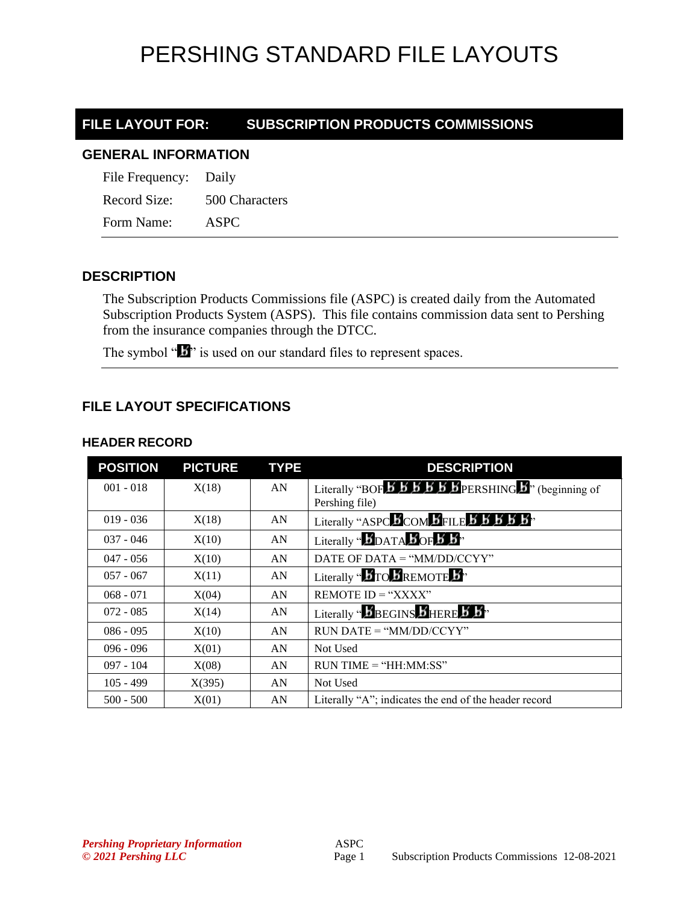# PERSHING STANDARD FILE LAYOUTS

# **FILE LAYOUT FOR: SUBSCRIPTION PRODUCTS COMMISSIONS**

#### **GENERAL INFORMATION**

File Frequency: Daily Record Size: 500 Characters Form Name: ASPC

## **DESCRIPTION**

The Subscription Products Commissions file (ASPC) is created daily from the Automated Subscription Products System (ASPS). This file contains commission data sent to Pershing from the insurance companies through the DTCC.

The symbol " $\mathbf{I}$ " is used on our standard files to represent spaces.

## **FILE LAYOUT SPECIFICATIONS**

#### **HEADER RECORD**

| <b>POSITION</b> | <b>PICTURE</b> | <b>TYPE</b> | <b>DESCRIPTION</b>                                                                                                                                  |
|-----------------|----------------|-------------|-----------------------------------------------------------------------------------------------------------------------------------------------------|
| $001 - 018$     | X(18)          | AN          | Literally "BOF $\overline{B}$ $\overline{B}$ $\overline{B}$ $\overline{B}$ $\overline{B}$ PERSHING $\overline{B}$ " (beginning of<br>Pershing file) |
| $019 - 036$     | X(18)          | AN          | Literally "ASPC BCOM BFILE B B B B B"                                                                                                               |
| $037 - 046$     | X(10)          | AN          | Literally " <b>BDATABOFB</b> <sup>"</sup>                                                                                                           |
| $047 - 056$     | X(10)          | AN          | DATE OF DATA = "MM/DD/CCYY"                                                                                                                         |
| $057 - 067$     | X(11)          | AN          | Literally " <b>B</b> TO <b>B</b> REMOTE <b>B</b> <sup>1</sup> "                                                                                     |
| $068 - 071$     | X(04)          | AN          | REMOTE $ID = "XXX"$                                                                                                                                 |
| $072 - 085$     | X(14)          | AN          | Literally "BBEGINS BHERE B B"                                                                                                                       |
| $086 - 095$     | X(10)          | AN          | $RUN\ DATE = "MM/DD/CCYY"$                                                                                                                          |
| $096 - 096$     | X(01)          | AN          | Not Used                                                                                                                                            |
| $097 - 104$     | X(08)          | AN          | $RUN TIME = "HH:MM:SS"$                                                                                                                             |
| $105 - 499$     | X(395)         | AN          | Not Used                                                                                                                                            |
| $500 - 500$     | X(01)          | AN          | Literally "A"; indicates the end of the header record                                                                                               |